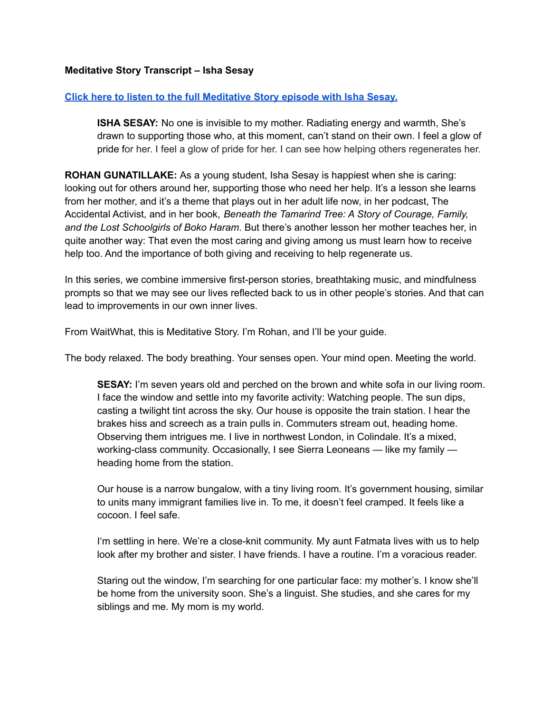## **Meditative Story Transcript – Isha Sesay**

## **Click here to listen to the full [Meditative](https://listen.meditativestory.com/IshaSesayPDF) Story episode with Isha Sesay.**

**ISHA SESAY:** No one is invisible to my mother. Radiating energy and warmth, She's drawn to supporting those who, at this moment, can't stand on their own. I feel a glow of pride for her. I feel a glow of pride for her. I can see how helping others regenerates her.

**ROHAN GUNATILLAKE:** As a young student, Isha Sesay is happiest when she is caring: looking out for others around her, supporting those who need her help. It's a lesson she learns from her mother, and it's a theme that plays out in her adult life now, in her podcast, The Accidental Activist, and in her book, *Beneath the Tamarind Tree: A Story of Courage, Family, and the Lost Schoolgirls of Boko Haram*. But there's another lesson her mother teaches her, in quite another way: That even the most caring and giving among us must learn how to receive help too. And the importance of both giving and receiving to help regenerate us.

In this series, we combine immersive first-person stories, breathtaking music, and mindfulness prompts so that we may see our lives reflected back to us in other people's stories. And that can lead to improvements in our own inner lives.

From WaitWhat, this is Meditative Story. I'm Rohan, and I'll be your guide.

The body relaxed. The body breathing. Your senses open. Your mind open. Meeting the world.

**SESAY:** I'm seven years old and perched on the brown and white sofa in our living room. I face the window and settle into my favorite activity: Watching people. The sun dips, casting a twilight tint across the sky. Our house is opposite the train station. I hear the brakes hiss and screech as a train pulls in. Commuters stream out, heading home. Observing them intrigues me. I live in northwest London, in Colindale. It's a mixed, working-class community. Occasionally, I see Sierra Leoneans — like my family heading home from the station.

Our house is a narrow bungalow, with a tiny living room. It's government housing, similar to units many immigrant families live in. To me, it doesn't feel cramped. It feels like a cocoon. I feel safe.

I'm settling in here. We're a close-knit community. My aunt Fatmata lives with us to help look after my brother and sister. I have friends. I have a routine. I'm a voracious reader.

Staring out the window, I'm searching for one particular face: my mother's. I know she'll be home from the university soon. She's a linguist. She studies, and she cares for my siblings and me. My mom is my world.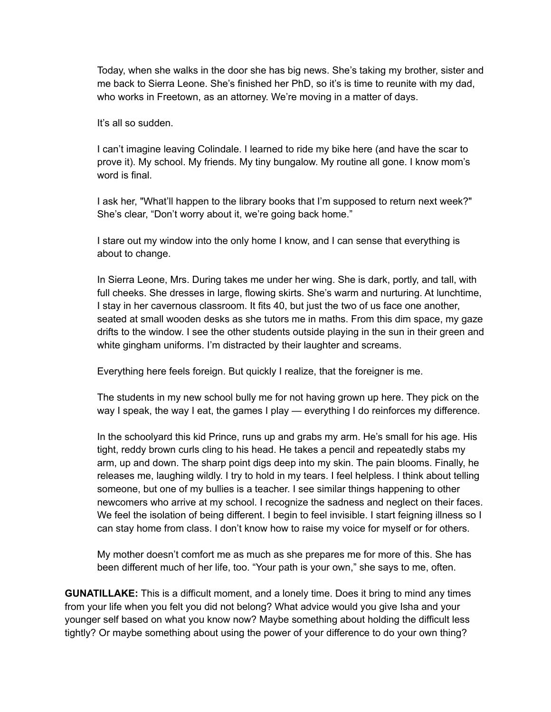Today, when she walks in the door she has big news. She's taking my brother, sister and me back to Sierra Leone. She's finished her PhD, so it's is time to reunite with my dad, who works in Freetown, as an attorney. We're moving in a matter of days.

It's all so sudden.

I can't imagine leaving Colindale. I learned to ride my bike here (and have the scar to prove it). My school. My friends. My tiny bungalow. My routine all gone. I know mom's word is final.

I ask her, "What'll happen to the library books that I'm supposed to return next week?" She's clear, "Don't worry about it, we're going back home."

I stare out my window into the only home I know, and I can sense that everything is about to change.

In Sierra Leone, Mrs. During takes me under her wing. She is dark, portly, and tall, with full cheeks. She dresses in large, flowing skirts. She's warm and nurturing. At lunchtime, I stay in her cavernous classroom. It fits 40, but just the two of us face one another, seated at small wooden desks as she tutors me in maths. From this dim space, my gaze drifts to the window. I see the other students outside playing in the sun in their green and white gingham uniforms. I'm distracted by their laughter and screams.

Everything here feels foreign. But quickly I realize, that the foreigner is me.

The students in my new school bully me for not having grown up here. They pick on the way I speak, the way I eat, the games I play — everything I do reinforces my difference.

In the schoolyard this kid Prince, runs up and grabs my arm. He's small for his age. His tight, reddy brown curls cling to his head. He takes a pencil and repeatedly stabs my arm, up and down. The sharp point digs deep into my skin. The pain blooms. Finally, he releases me, laughing wildly. I try to hold in my tears. I feel helpless. I think about telling someone, but one of my bullies is a teacher. I see similar things happening to other newcomers who arrive at my school. I recognize the sadness and neglect on their faces. We feel the isolation of being different. I begin to feel invisible. I start feigning illness so I can stay home from class. I don't know how to raise my voice for myself or for others.

My mother doesn't comfort me as much as she prepares me for more of this. She has been different much of her life, too. "Your path is your own," she says to me, often.

**GUNATILLAKE:** This is a difficult moment, and a lonely time. Does it bring to mind any times from your life when you felt you did not belong? What advice would you give Isha and your younger self based on what you know now? Maybe something about holding the difficult less tightly? Or maybe something about using the power of your difference to do your own thing?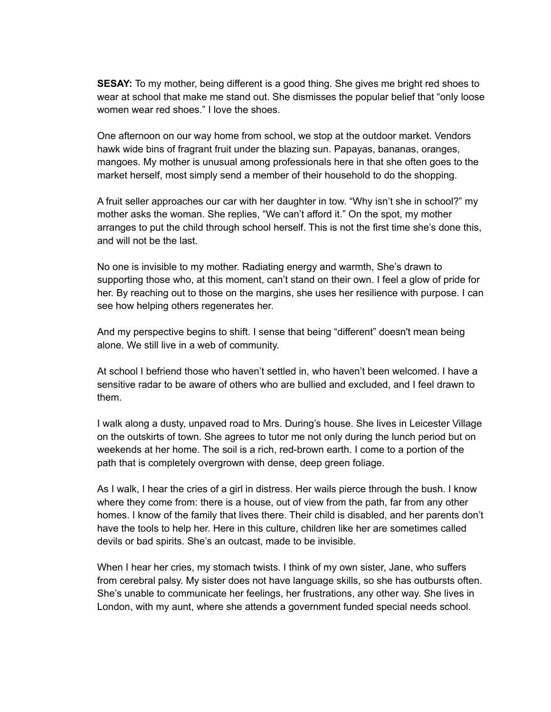**SESAY:** To my mother, being different is a good thing. She gives me bright red shoes to wear at school that make me stand out. She dismisses the popular belief that "only loose women wear red shoes." I love the shoes.

One afternoon on our way home from school, we stop at the outdoor market. Vendors hawk wide bins of fragrant fruit under the blazing sun. Papayas, bananas, oranges, mangoes. My mother is unusual among professionals here in that she often goes to the market herself, most simply send a member of their household to do the shopping.

A fruit seller approaches our car with her daughter in tow. "Why isn't she in school?" my mother asks the woman. She replies, "We can't afford it." On the spot, my mother arranges to put the child through school herself. This is not the first time she's done this, and will not be the last.

No one is invisible to my mother. Radiating energy and warmth, She's drawn to supporting those who, at this moment, can't stand on their own. I feel a glow of pride for her. By reaching out to those on the margins, she uses her resilience with purpose. I can see how helping others regenerates her.

And my perspective begins to shift. I sense that being "different" doesn't mean being alone. We still live in a web of community.

At school I befriend those who haven't settled in, who haven't been welcomed. I have a sensitive radar to be aware of others who are bullied and excluded, and I feel drawn to them.

I walk along a dusty, unpaved road to Mrs. During's house. She lives in Leicester Village on the outskirts of town. She agrees to tutor me not only during the lunch period but on weekends at her home. The soil is a rich, red-brown earth. I come to a portion of the path that is completely overgrown with dense, deep green foliage.

As I walk, I hear the cries of a girl in distress. Her wails pierce through the bush. I know where they come from: there is a house, out of view from the path, far from any other homes. I know of the family that lives there. Their child is disabled, and her parents don't have the tools to help her. Here in this culture, children like her are sometimes called devils or bad spirits. She's an outcast, made to be invisible.

When I hear her cries, my stomach twists. I think of my own sister, Jane, who suffers from cerebral palsy. My sister does not have language skills, so she has outbursts often. She's unable to communicate her feelings, her frustrations, any other way. She lives in London, with my aunt, where she attends a government funded special needs school.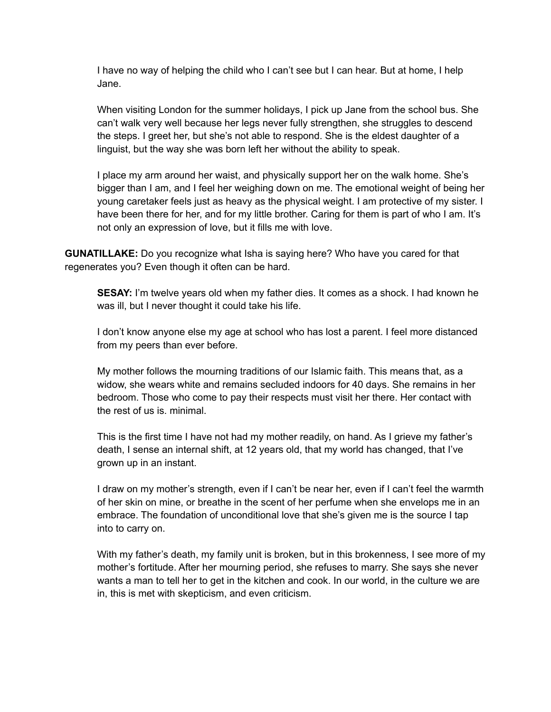I have no way of helping the child who I can't see but I can hear. But at home, I help Jane.

When visiting London for the summer holidays, I pick up Jane from the school bus. She can't walk very well because her legs never fully strengthen, she struggles to descend the steps. I greet her, but she's not able to respond. She is the eldest daughter of a linguist, but the way she was born left her without the ability to speak.

I place my arm around her waist, and physically support her on the walk home. She's bigger than I am, and I feel her weighing down on me. The emotional weight of being her young caretaker feels just as heavy as the physical weight. I am protective of my sister. I have been there for her, and for my little brother. Caring for them is part of who I am. It's not only an expression of love, but it fills me with love.

**GUNATILLAKE:** Do you recognize what Isha is saying here? Who have you cared for that regenerates you? Even though it often can be hard.

**SESAY:** I'm twelve years old when my father dies. It comes as a shock. I had known he was ill, but I never thought it could take his life.

I don't know anyone else my age at school who has lost a parent. I feel more distanced from my peers than ever before.

My mother follows the mourning traditions of our Islamic faith. This means that, as a widow, she wears white and remains secluded indoors for 40 days. She remains in her bedroom. Those who come to pay their respects must visit her there. Her contact with the rest of us is. minimal.

This is the first time I have not had my mother readily, on hand. As I grieve my father's death, I sense an internal shift, at 12 years old, that my world has changed, that I've grown up in an instant.

I draw on my mother's strength, even if I can't be near her, even if I can't feel the warmth of her skin on mine, or breathe in the scent of her perfume when she envelops me in an embrace. The foundation of unconditional love that she's given me is the source I tap into to carry on.

With my father's death, my family unit is broken, but in this brokenness, I see more of my mother's fortitude. After her mourning period, she refuses to marry. She says she never wants a man to tell her to get in the kitchen and cook. In our world, in the culture we are in, this is met with skepticism, and even criticism.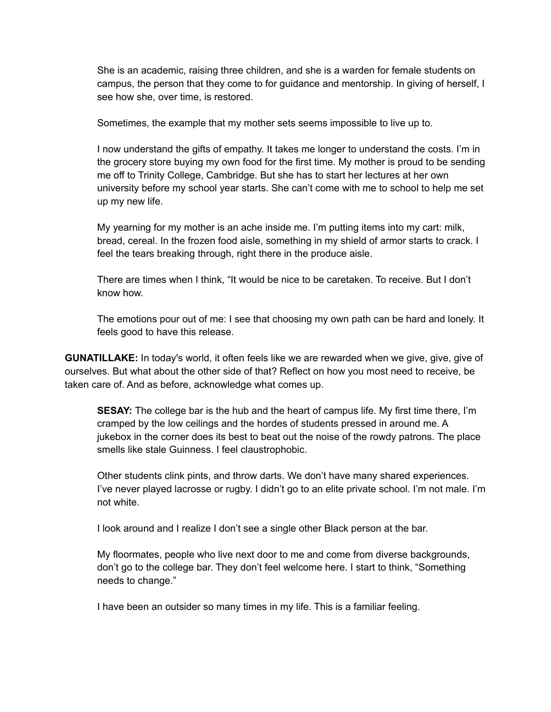She is an academic, raising three children, and she is a warden for female students on campus, the person that they come to for guidance and mentorship. In giving of herself, I see how she, over time, is restored.

Sometimes, the example that my mother sets seems impossible to live up to.

I now understand the gifts of empathy. It takes me longer to understand the costs. I'm in the grocery store buying my own food for the first time. My mother is proud to be sending me off to Trinity College, Cambridge. But she has to start her lectures at her own university before my school year starts. She can't come with me to school to help me set up my new life.

My yearning for my mother is an ache inside me. I'm putting items into my cart: milk, bread, cereal. In the frozen food aisle, something in my shield of armor starts to crack. I feel the tears breaking through, right there in the produce aisle.

There are times when I think, "It would be nice to be caretaken. To receive. But I don't know how.

The emotions pour out of me: I see that choosing my own path can be hard and lonely. It feels good to have this release.

**GUNATILLAKE:** In today's world, it often feels like we are rewarded when we give, give, give of ourselves. But what about the other side of that? Reflect on how you most need to receive, be taken care of. And as before, acknowledge what comes up.

**SESAY:** The college bar is the hub and the heart of campus life. My first time there, I'm cramped by the low ceilings and the hordes of students pressed in around me. A jukebox in the corner does its best to beat out the noise of the rowdy patrons. The place smells like stale Guinness. I feel claustrophobic.

Other students clink pints, and throw darts. We don't have many shared experiences. I've never played lacrosse or rugby. I didn't go to an elite private school. I'm not male. I'm not white.

I look around and I realize I don't see a single other Black person at the bar.

My floormates, people who live next door to me and come from diverse backgrounds, don't go to the college bar. They don't feel welcome here. I start to think, "Something needs to change."

I have been an outsider so many times in my life. This is a familiar feeling.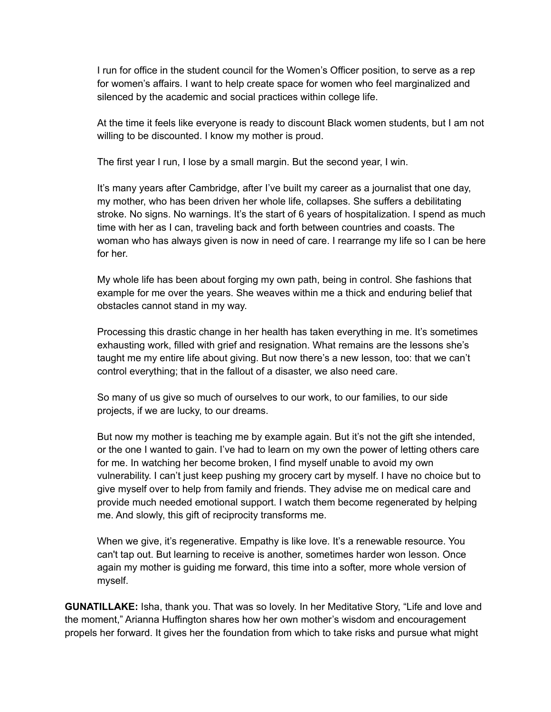I run for office in the student council for the Women's Officer position, to serve as a rep for women's affairs. I want to help create space for women who feel marginalized and silenced by the academic and social practices within college life.

At the time it feels like everyone is ready to discount Black women students, but I am not willing to be discounted. I know my mother is proud.

The first year I run, I lose by a small margin. But the second year, I win.

It's many years after Cambridge, after I've built my career as a journalist that one day, my mother, who has been driven her whole life, collapses. She suffers a debilitating stroke. No signs. No warnings. It's the start of 6 years of hospitalization. I spend as much time with her as I can, traveling back and forth between countries and coasts. The woman who has always given is now in need of care. I rearrange my life so I can be here for her.

My whole life has been about forging my own path, being in control. She fashions that example for me over the years. She weaves within me a thick and enduring belief that obstacles cannot stand in my way.

Processing this drastic change in her health has taken everything in me. It's sometimes exhausting work, filled with grief and resignation. What remains are the lessons she's taught me my entire life about giving. But now there's a new lesson, too: that we can't control everything; that in the fallout of a disaster, we also need care.

So many of us give so much of ourselves to our work, to our families, to our side projects, if we are lucky, to our dreams.

But now my mother is teaching me by example again. But it's not the gift she intended, or the one I wanted to gain. I've had to learn on my own the power of letting others care for me. In watching her become broken, I find myself unable to avoid my own vulnerability. I can't just keep pushing my grocery cart by myself. I have no choice but to give myself over to help from family and friends. They advise me on medical care and provide much needed emotional support. I watch them become regenerated by helping me. And slowly, this gift of reciprocity transforms me.

When we give, it's regenerative. Empathy is like love. It's a renewable resource. You can't tap out. But learning to receive is another, sometimes harder won lesson. Once again my mother is guiding me forward, this time into a softer, more whole version of myself.

**GUNATILLAKE:** Isha, thank you. That was so lovely. In her Meditative Story, "Life and love and the moment," Arianna Huffington shares how her own mother's wisdom and encouragement propels her forward. It gives her the foundation from which to take risks and pursue what might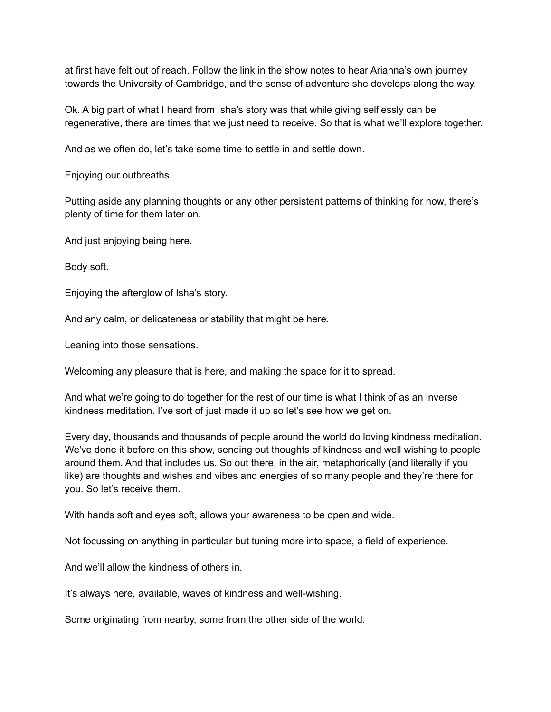at first have felt out of reach. Follow the link in the show notes to hear Arianna's own journey towards the University of Cambridge, and the sense of adventure she develops along the way.

Ok. A big part of what I heard from Isha's story was that while giving selflessly can be regenerative, there are times that we just need to receive. So that is what we'll explore together.

And as we often do, let's take some time to settle in and settle down.

Enjoying our outbreaths.

Putting aside any planning thoughts or any other persistent patterns of thinking for now, there's plenty of time for them later on.

And just enjoying being here.

Body soft.

Enjoying the afterglow of Isha's story.

And any calm, or delicateness or stability that might be here.

Leaning into those sensations.

Welcoming any pleasure that is here, and making the space for it to spread.

And what we're going to do together for the rest of our time is what I think of as an inverse kindness meditation. I've sort of just made it up so let's see how we get on.

Every day, thousands and thousands of people around the world do loving kindness meditation. We've done it before on this show, sending out thoughts of kindness and well wishing to people around them. And that includes us. So out there, in the air, metaphorically (and literally if you like) are thoughts and wishes and vibes and energies of so many people and they're there for you. So let's receive them.

With hands soft and eyes soft, allows your awareness to be open and wide.

Not focussing on anything in particular but tuning more into space, a field of experience.

And we'll allow the kindness of others in.

It's always here, available, waves of kindness and well-wishing.

Some originating from nearby, some from the other side of the world.